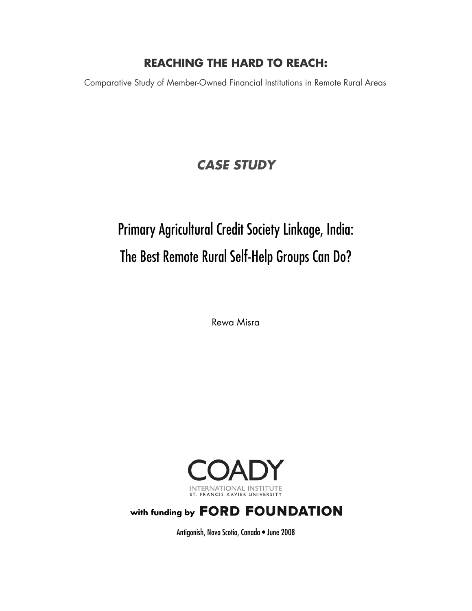# **REACHING THE HARD TO REACH:**

Comparative Study of Member-Owned Financial Institutions in Remote Rural Areas

# *CASE STUDY*

# Primary Agricultural Credit Society Linkage, India: The Best Remote Rural Self-Help Groups Can Do?

Rewa Misra



# with funding by FORD FOUNDATION

Antigonish, Nova Scotia, Canada • June 2008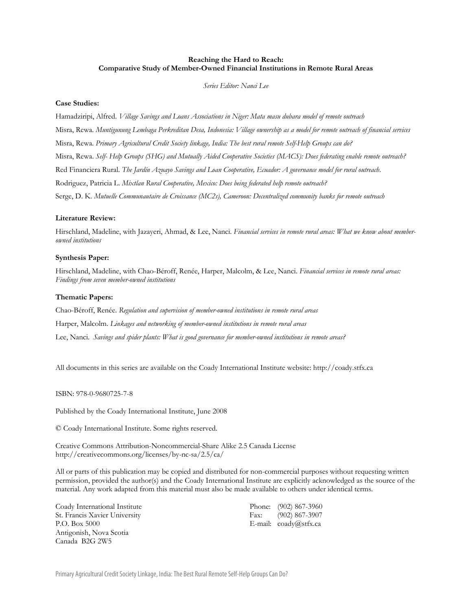#### **Reaching the Hard to Reach: Comparative Study of Member-Owned Financial Institutions in Remote Rural Areas**

*Series Editor: Nanci Lee* 

#### **Case Studies:**

Hamadziripi, Alfred. *Village Savings and Loans Associations in Niger: Mata masu dubara model of remote outreach* Misra, Rewa. *Muntigunung Lembaga Perkreditan Desa, Indonesia: Village ownership as a model for remote outreach of financial services* Misra, Rewa. *Primary Agricultural Credit Society linkage, India: The best rural remote Self-Help Groups can do?* Misra, Rewa. *Self- Help Groups (SHG) and Mutually Aided Cooperative Societies (MACS): Does federating enable remote outreach?* Red Financiera Rural. *The Jardín Azuayo Savings and Loan Cooperative, Ecuador: A governance model for rural outreach*. Rodriguez, Patricia L. *Mixtlan Rural Cooperative, Mexico: Does being federated help remote outreach?* Serge, D. K. *Mutuelle Communautaire de Croissance (MC2s), Cameroon: Decentralized community banks for remote outreach*

#### **Literature Review:**

Hirschland, Madeline, with Jazayeri, Ahmad, & Lee, Nanci. *Financial services in remote rural areas: What we know about memberowned institutions*

#### **Synthesis Paper:**

Hirschland, Madeline, with Chao-Béroff, Renée, Harper, Malcolm, & Lee, Nanci. *Financial services in remote rural areas: Findings from seven member-owned institutions*

#### **Thematic Papers:**

Chao-Béroff, Renée. *Regulation and supervision of member-owned institutions in remote rural areas* Harper, Malcolm. *Linkages and networking of member-owned institutions in remote rural areas* Lee, Nanci. *Savings and spider plants: What is good governance for member-owned institutions in remote areas?*

All documents in this series are available on the Coady International Institute website: http://coady.stfx.ca

ISBN: 978-0-9680725-7-8

Published by the Coady International Institute, June 2008

© Coady International Institute. Some rights reserved.

Creative Commons Attribution-Noncommercial-Share Alike 2.5 Canada License http://creativecommons.org/licenses/by-nc-sa/2.5/ca/

All or parts of this publication may be copied and distributed for non-commercial purposes without requesting written permission, provided the author(s) and the Coady International Institute are explicitly acknowledged as the source of the material. Any work adapted from this material must also be made available to others under identical terms.

Coady International Institute Phone: (902) 867-3960 St. Francis Xavier University Fax: (902) 867-3907 P.O. Box 5000 E-mail: coady@stfx.ca Antigonish, Nova Scotia Canada B2G 2W5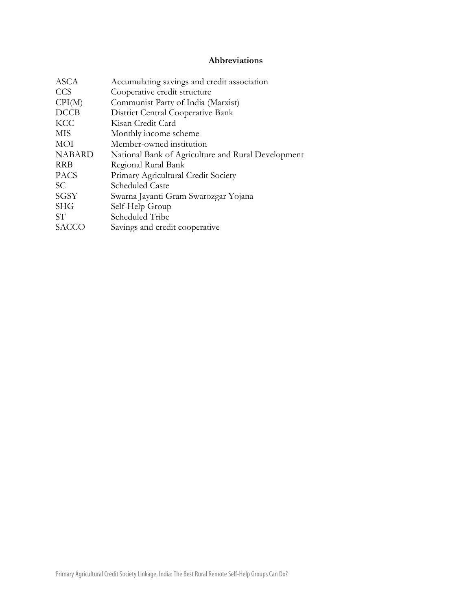# **Abbreviations**

| <b>ASCA</b>   | Accumulating savings and credit association        |
|---------------|----------------------------------------------------|
| <b>CCS</b>    | Cooperative credit structure                       |
| CPI(M)        | Communist Party of India (Marxist)                 |
| <b>DCCB</b>   | District Central Cooperative Bank                  |
| <b>KCC</b>    | Kisan Credit Card                                  |
| MIS           | Monthly income scheme                              |
| MOI           | Member-owned institution                           |
| <b>NABARD</b> | National Bank of Agriculture and Rural Development |
| <b>RRB</b>    | Regional Rural Bank                                |
| <b>PACS</b>   | Primary Agricultural Credit Society                |
| SC.           | Scheduled Caste                                    |
| SGSY          | Swarna Jayanti Gram Swarozgar Yojana               |
| <b>SHG</b>    | Self-Help Group                                    |
| SТ            | Scheduled Tribe                                    |
| SACCO         | Savings and credit cooperative                     |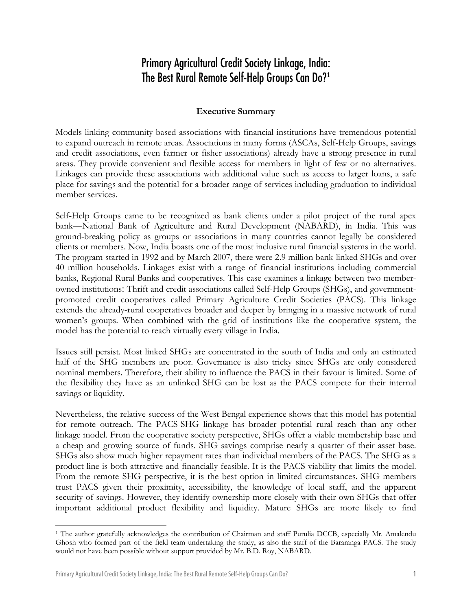# Primary Agricultural Credit Society Linkage, India: The Best Rural Remote Self-Help Groups Can Do?**[1](#page-3-0)**

## **Executive Summary**

Models linking community-based associations with financial institutions have tremendous potential to expand outreach in remote areas. Associations in many forms (ASCAs, Self-Help Groups, savings and credit associations, even farmer or fisher associations) already have a strong presence in rural areas. They provide convenient and flexible access for members in light of few or no alternatives. Linkages can provide these associations with additional value such as access to larger loans, a safe place for savings and the potential for a broader range of services including graduation to individual member services.

Self-Help Groups came to be recognized as bank clients under a pilot project of the rural apex bank—National Bank of Agriculture and Rural Development (NABARD), in India. This was ground-breaking policy as groups or associations in many countries cannot legally be considered clients or members. Now, India boasts one of the most inclusive rural financial systems in the world. The program started in 1992 and by March 2007, there were 2.9 million bank-linked SHGs and over 40 million households. Linkages exist with a range of financial institutions including commercial banks, Regional Rural Banks and cooperatives. This case examines a linkage between two memberowned institutions: Thrift and credit associations called Self-Help Groups (SHGs), and governmentpromoted credit cooperatives called Primary Agriculture Credit Societies (PACS). This linkage extends the already-rural cooperatives broader and deeper by bringing in a massive network of rural women's groups. When combined with the grid of institutions like the cooperative system, the model has the potential to reach virtually every village in India.

Issues still persist. Most linked SHGs are concentrated in the south of India and only an estimated half of the SHG members are poor. Governance is also tricky since SHGs are only considered nominal members. Therefore, their ability to influence the PACS in their favour is limited. Some of the flexibility they have as an unlinked SHG can be lost as the PACS compete for their internal savings or liquidity.

Nevertheless, the relative success of the West Bengal experience shows that this model has potential for remote outreach. The PACS-SHG linkage has broader potential rural reach than any other linkage model. From the cooperative society perspective, SHGs offer a viable membership base and a cheap and growing source of funds. SHG savings comprise nearly a quarter of their asset base. SHGs also show much higher repayment rates than individual members of the PACS. The SHG as a product line is both attractive and financially feasible. It is the PACS viability that limits the model. From the remote SHG perspective, it is the best option in limited circumstances. SHG members trust PACS given their proximity, accessibility, the knowledge of local staff, and the apparent security of savings. However, they identify ownership more closely with their own SHGs that offer important additional product flexibility and liquidity. Mature SHGs are more likely to find

<span id="page-3-0"></span> $\overline{a}$ 1 The author gratefully acknowledges the contribution of Chairman and staff Purulia DCCB, especially Mr. Amalendu Ghosh who formed part of the field team undertaking the study, as also the staff of the Bararanga PACS. The study would not have been possible without support provided by Mr. B.D. Roy, NABARD.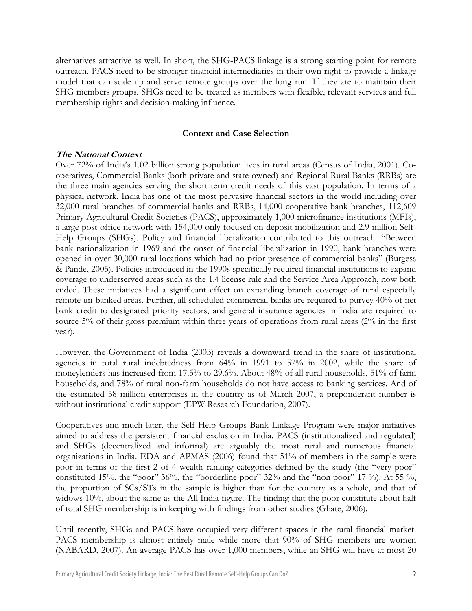alternatives attractive as well. In short, the SHG-PACS linkage is a strong starting point for remote outreach. PACS need to be stronger financial intermediaries in their own right to provide a linkage model that can scale up and serve remote groups over the long run. If they are to maintain their SHG members groups, SHGs need to be treated as members with flexible, relevant services and full membership rights and decision-making influence.

#### **Context and Case Selection**

#### **The National Context**

Over 72% of India's 1.02 billion strong population lives in rural areas (Census of India, 2001). Cooperatives, Commercial Banks (both private and state-owned) and Regional Rural Banks (RRBs) are the three main agencies serving the short term credit needs of this vast population. In terms of a physical network, India has one of the most pervasive financial sectors in the world including over 32,000 rural branches of commercial banks and RRBs, 14,000 cooperative bank branches, 112,609 Primary Agricultural Credit Societies (PACS), approximately 1,000 microfinance institutions (MFIs), a large post office network with 154,000 only focused on deposit mobilization and 2.9 million Self-Help Groups (SHGs). Policy and financial liberalization contributed to this outreach. "Between bank nationalization in 1969 and the onset of financial liberalization in 1990, bank branches were opened in over 30,000 rural locations which had no prior presence of commercial banks" (Burgess & Pande, 2005). Policies introduced in the 1990s specifically required financial institutions to expand coverage to underserved areas such as the 1.4 license rule and the Service Area Approach, now both ended. These initiatives had a significant effect on expanding branch coverage of rural especially remote un-banked areas. Further, all scheduled commercial banks are required to purvey 40% of net bank credit to designated priority sectors, and general insurance agencies in India are required to source 5% of their gross premium within three years of operations from rural areas (2% in the first year).

However, the Government of India (2003) reveals a downward trend in the share of institutional agencies in total rural indebtedness from 64% in 1991 to 57% in 2002, while the share of moneylenders has increased from 17.5% to 29.6%. About 48% of all rural households, 51% of farm households, and 78% of rural non-farm households do not have access to banking services. And of the estimated 58 million enterprises in the country as of March 2007, a preponderant number is without institutional credit support (EPW Research Foundation, 2007).

Cooperatives and much later, the Self Help Groups Bank Linkage Program were major initiatives aimed to address the persistent financial exclusion in India. PACS (institutionalized and regulated) and SHGs (decentralized and informal) are arguably the most rural and numerous financial organizations in India. EDA and APMAS (2006) found that 51% of members in the sample were poor in terms of the first 2 of 4 wealth ranking categories defined by the study (the "very poor" constituted 15%, the "poor" 36%, the "borderline poor" 32% and the "non poor" 17 %). At 55 %, the proportion of SCs/STs in the sample is higher than for the country as a whole, and that of widows 10%, about the same as the All India figure. The finding that the poor constitute about half of total SHG membership is in keeping with findings from other studies (Ghate, 2006).

Until recently, SHGs and PACS have occupied very different spaces in the rural financial market. PACS membership is almost entirely male while more that 90% of SHG members are women (NABARD, 2007). An average PACS has over 1,000 members, while an SHG will have at most 20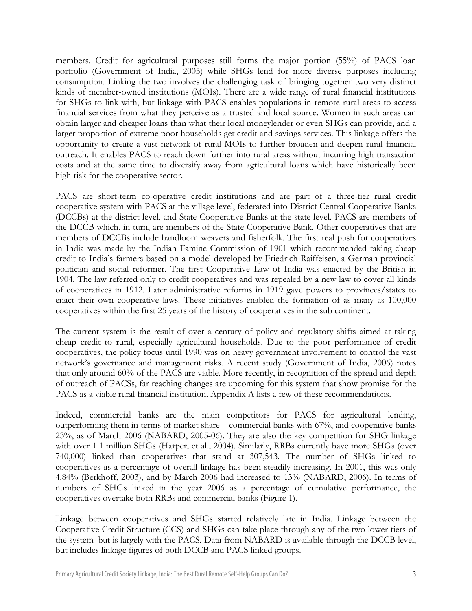members. Credit for agricultural purposes still forms the major portion (55%) of PACS loan portfolio (Government of India, 2005) while SHGs lend for more diverse purposes including consumption. Linking the two involves the challenging task of bringing together two very distinct kinds of member-owned institutions (MOIs). There are a wide range of rural financial institutions for SHGs to link with, but linkage with PACS enables populations in remote rural areas to access financial services from what they perceive as a trusted and local source. Women in such areas can obtain larger and cheaper loans than what their local moneylender or even SHGs can provide, and a larger proportion of extreme poor households get credit and savings services. This linkage offers the opportunity to create a vast network of rural MOIs to further broaden and deepen rural financial outreach. It enables PACS to reach down further into rural areas without incurring high transaction costs and at the same time to diversify away from agricultural loans which have historically been high risk for the cooperative sector.

PACS are short-term co-operative credit institutions and are part of a three-tier rural credit cooperative system with PACS at the village level, federated into District Central Cooperative Banks (DCCBs) at the district level, and State Cooperative Banks at the state level. PACS are members of the DCCB which, in turn, are members of the State Cooperative Bank. Other cooperatives that are members of DCCBs include handloom weavers and fisherfolk. The first real push for cooperatives in India was made by the Indian Famine Commission of 1901 which recommended taking cheap credit to India's farmers based on a model developed by Friedrich Raiffeisen, a German provincial politician and social reformer. The first Cooperative Law of India was enacted by the British in 1904. The law referred only to credit cooperatives and was repealed by a new law to cover all kinds of cooperatives in 1912. Later administrative reforms in 1919 gave powers to provinces/states to enact their own cooperative laws. These initiatives enabled the formation of as many as 100,000 cooperatives within the first 25 years of the history of cooperatives in the sub continent.

The current system is the result of over a century of policy and regulatory shifts aimed at taking cheap credit to rural, especially agricultural households. Due to the poor performance of credit cooperatives, the policy focus until 1990 was on heavy government involvement to control the vast network's governance and management risks. A recent study (Government of India, 2006) notes that only around 60% of the PACS are viable. More recently, in recognition of the spread and depth of outreach of PACSs, far reaching changes are upcoming for this system that show promise for the PACS as a viable rural financial institution. Appendix A lists a few of these recommendations.

Indeed, commercial banks are the main competitors for PACS for agricultural lending, outperforming them in terms of market share—commercial banks with 67%, and cooperative banks 23%, as of March 2006 (NABARD, 2005-06). They are also the key competition for SHG linkage with over 1.1 million SHGs (Harper, et al., 2004). Similarly, RRBs currently have more SHGs (over 740,000) linked than cooperatives that stand at 307,543. The number of SHGs linked to cooperatives as a percentage of overall linkage has been steadily increasing. In 2001, this was only 4.84% (Berkhoff, 2003), and by March 2006 had increased to 13% (NABARD, 2006). In terms of numbers of SHGs linked in the year 2006 as a percentage of cumulative performance, the cooperatives overtake both RRBs and commercial banks (Figure 1).

Linkage between cooperatives and SHGs started relatively late in India. Linkage between the Cooperative Credit Structure (CCS) and SHGs can take place through any of the two lower tiers of the system–but is largely with the PACS. Data from NABARD is available through the DCCB level, but includes linkage figures of both DCCB and PACS linked groups.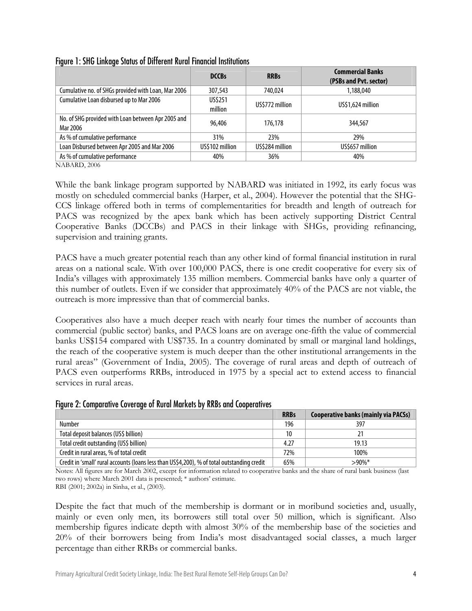|                                                                | <b>DCCBs</b>       | <b>RRBs</b>     | <b>Commercial Banks</b><br>(PSBs and Pvt. sector) |
|----------------------------------------------------------------|--------------------|-----------------|---------------------------------------------------|
| Cumulative no. of SHGs provided with Loan, Mar 2006            | 307.543            | 740.024         | 1,188,040                                         |
| Cumulative Loan disbursed up to Mar 2006                       | US\$251<br>million | US\$772 million | US\$1,624 million                                 |
| No. of SHG provided with Loan between Apr 2005 and<br>Mar 2006 | 96.406             | 176.178         | 344,567                                           |
| As % of cumulative performance                                 | 31%                | 23%             | 29%                                               |
| Loan Disbursed between Apr 2005 and Mar 2006                   | US\$102 million    | US\$284 million | US\$657 million                                   |
| As % of cumulative performance                                 | 40%                | 36%             | 40%                                               |

# Figure 1: SHG Linkage Status of Different Rural Financial Institutions

NABARD, 2006

While the bank linkage program supported by NABARD was initiated in 1992, its early focus was mostly on scheduled commercial banks (Harper, et al., 2004). However the potential that the SHG-CCS linkage offered both in terms of complementarities for breadth and length of outreach for PACS was recognized by the apex bank which has been actively supporting District Central Cooperative Banks (DCCBs) and PACS in their linkage with SHGs, providing refinancing, supervision and training grants.

PACS have a much greater potential reach than any other kind of formal financial institution in rural areas on a national scale. With over 100,000 PACS, there is one credit cooperative for every six of India's villages with approximately 135 million members. Commercial banks have only a quarter of this number of outlets. Even if we consider that approximately 40% of the PACS are not viable, the outreach is more impressive than that of commercial banks.

Cooperatives also have a much deeper reach with nearly four times the number of accounts than commercial (public sector) banks, and PACS loans are on average one-fifth the value of commercial banks US\$154 compared with US\$735. In a country dominated by small or marginal land holdings, the reach of the cooperative system is much deeper than the other institutional arrangements in the rural areas" (Government of India, 2005). The coverage of rural areas and depth of outreach of PACS even outperforms RRBs, introduced in 1975 by a special act to extend access to financial services in rural areas.

|  | Figure 2: Comparative Coverage of Rural Markets by RRBs and Cooperatives |  |  |  |
|--|--------------------------------------------------------------------------|--|--|--|
|  |                                                                          |  |  |  |

|                                                                                             | <b>RRBs</b> | <b>Cooperative banks (mainly via PACSs)</b> |
|---------------------------------------------------------------------------------------------|-------------|---------------------------------------------|
| Number                                                                                      | 196         | 397                                         |
| Total deposit balances (US\$ billion)                                                       | 10          |                                             |
| Total credit outstanding (US\$ billion)                                                     | 4.27        | 19.13                                       |
| Credit in rural areas, % of total credit                                                    | 72%         | 100%                                        |
| Credit in 'small' rural accounts (loans less than US\$4,200), % of total outstanding credit | 65%         | $>90\%$ *                                   |

Notes: All figures are for March 2002, except for information related to cooperative banks and the share of rural bank business (last two rows) where March 2001 data is presented; \* authors' estimate.

RBI (2001; 2002a) in Sinha, et al., (2003).

Despite the fact that much of the membership is dormant or in moribund societies and, usually, mainly or even only men, its borrowers still total over 50 million, which is significant. Also membership figures indicate depth with almost 30% of the membership base of the societies and 20% of their borrowers being from India's most disadvantaged social classes, a much larger percentage than either RRBs or commercial banks.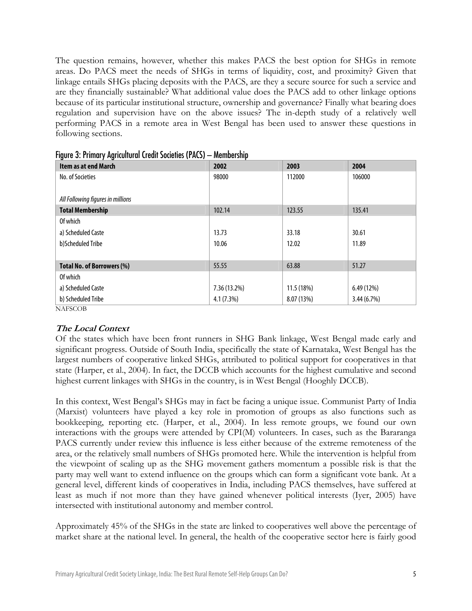The question remains, however, whether this makes PACS the best option for SHGs in remote areas. Do PACS meet the needs of SHGs in terms of liquidity, cost, and proximity? Given that linkage entails SHGs placing deposits with the PACS, are they a secure source for such a service and are they financially sustainable? What additional value does the PACS add to other linkage options because of its particular institutional structure, ownership and governance? Finally what bearing does regulation and supervision have on the above issues? The in-depth study of a relatively well performing PACS in a remote area in West Bengal has been used to answer these questions in following sections.

| <b>Item as at end March</b>       | 2002         | 2003       | 2004       |
|-----------------------------------|--------------|------------|------------|
| No. of Societies                  | 98000        | 112000     | 106000     |
|                                   |              |            |            |
| All Following figures in millions |              |            |            |
| <b>Total Membership</b>           | 102.14       | 123.55     | 135.41     |
| Of which                          |              |            |            |
| a) Scheduled Caste                | 13.73        | 33.18      | 30.61      |
| b)Scheduled Tribe                 | 10.06        | 12.02      | 11.89      |
|                                   |              |            |            |
| <b>Total No. of Borrowers (%)</b> | 55.55        | 63.88      | 51.27      |
| Of which                          |              |            |            |
| a) Scheduled Caste                | 7.36 (13.2%) | 11.5 (18%) | 6.49 (12%) |
| b) Scheduled Tribe                | 4.1(7.3%)    | 8.07 (13%) | 3.44(6.7%) |
| NAFSCOB                           |              |            |            |

|  |  |  | Figure 3: Primary Agricultural Credit Societies (PACS) - Membership |
|--|--|--|---------------------------------------------------------------------|
|  |  |  |                                                                     |

## **The Local Context**

Of the states which have been front runners in SHG Bank linkage, West Bengal made early and significant progress. Outside of South India, specifically the state of Karnataka, West Bengal has the largest numbers of cooperative linked SHGs, attributed to political support for cooperatives in that state (Harper, et al., 2004). In fact, the DCCB which accounts for the highest cumulative and second highest current linkages with SHGs in the country, is in West Bengal (Hooghly DCCB).

In this context, West Bengal's SHGs may in fact be facing a unique issue. Communist Party of India (Marxist) volunteers have played a key role in promotion of groups as also functions such as bookkeeping, reporting etc. (Harper, et al., 2004). In less remote groups, we found our own interactions with the groups were attended by CPI(M) volunteers. In cases, such as the Bararanga PACS currently under review this influence is less either because of the extreme remoteness of the area, or the relatively small numbers of SHGs promoted here. While the intervention is helpful from the viewpoint of scaling up as the SHG movement gathers momentum a possible risk is that the party may well want to extend influence on the groups which can form a significant vote bank. At a general level, different kinds of cooperatives in India, including PACS themselves, have suffered at least as much if not more than they have gained whenever political interests (Iyer, 2005) have intersected with institutional autonomy and member control.

Approximately 45% of the SHGs in the state are linked to cooperatives well above the percentage of market share at the national level. In general, the health of the cooperative sector here is fairly good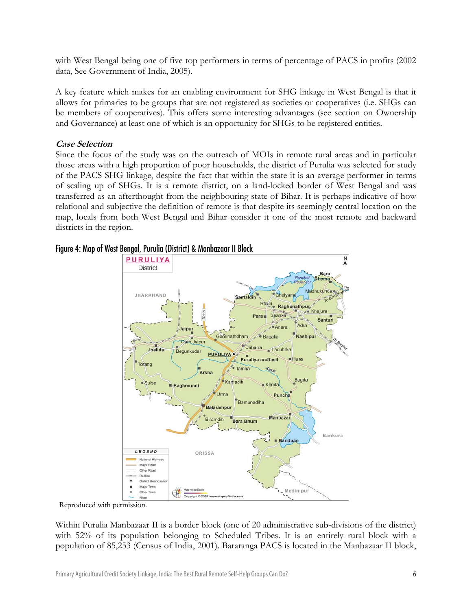with West Bengal being one of five top performers in terms of percentage of PACS in profits (2002 data, See Government of India, 2005).

A key feature which makes for an enabling environment for SHG linkage in West Bengal is that it allows for primaries to be groups that are not registered as societies or cooperatives (i.e. SHGs can be members of cooperatives). This offers some interesting advantages (see section on Ownership and Governance) at least one of which is an opportunity for SHGs to be registered entities.

# **Case Selection**

Since the focus of the study was on the outreach of MOIs in remote rural areas and in particular those areas with a high proportion of poor households, the district of Purulia was selected for study of the PACS SHG linkage, despite the fact that within the state it is an average performer in terms of scaling up of SHGs. It is a remote district, on a land-locked border of West Bengal and was transferred as an afterthought from the neighbouring state of Bihar. It is perhaps indicative of how relational and subjective the definition of remote is that despite its seemingly central location on the map, locals from both West Bengal and Bihar consider it one of the most remote and backward districts in the region.



# Figure 4: Map of West Bengal, Purulia (District) & Manbazaar II Block

Reproduced with permission.

Within Purulia Manbazaar II is a border block (one of 20 administrative sub-divisions of the district) with 52% of its population belonging to Scheduled Tribes. It is an entirely rural block with a population of 85,253 (Census of India, 2001). Bararanga PACS is located in the Manbazaar II block,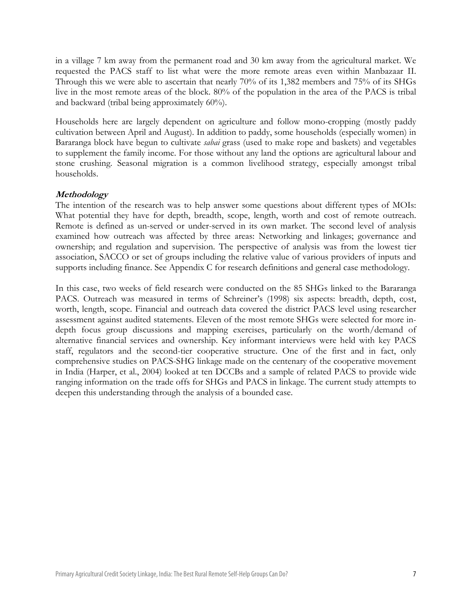in a village 7 km away from the permanent road and 30 km away from the agricultural market. We requested the PACS staff to list what were the more remote areas even within Manbazaar II. Through this we were able to ascertain that nearly 70% of its 1,382 members and 75% of its SHGs live in the most remote areas of the block. 80% of the population in the area of the PACS is tribal and backward (tribal being approximately 60%).

Households here are largely dependent on agriculture and follow mono-cropping (mostly paddy cultivation between April and August). In addition to paddy, some households (especially women) in Bararanga block have begun to cultivate *sabai* grass (used to make rope and baskets) and vegetables to supplement the family income. For those without any land the options are agricultural labour and stone crushing. Seasonal migration is a common livelihood strategy, especially amongst tribal households.

#### **Methodology**

The intention of the research was to help answer some questions about different types of MOIs: What potential they have for depth, breadth, scope, length, worth and cost of remote outreach. Remote is defined as un-served or under-served in its own market. The second level of analysis examined how outreach was affected by three areas: Networking and linkages; governance and ownership; and regulation and supervision. The perspective of analysis was from the lowest tier association, SACCO or set of groups including the relative value of various providers of inputs and supports including finance. See Appendix C for research definitions and general case methodology.

In this case, two weeks of field research were conducted on the 85 SHGs linked to the Bararanga PACS. Outreach was measured in terms of Schreiner's (1998) six aspects: breadth, depth, cost, worth, length, scope. Financial and outreach data covered the district PACS level using researcher assessment against audited statements. Eleven of the most remote SHGs were selected for more indepth focus group discussions and mapping exercises, particularly on the worth/demand of alternative financial services and ownership. Key informant interviews were held with key PACS staff, regulators and the second-tier cooperative structure. One of the first and in fact, only comprehensive studies on PACS-SHG linkage made on the centenary of the cooperative movement in India (Harper, et al., 2004) looked at ten DCCBs and a sample of related PACS to provide wide ranging information on the trade offs for SHGs and PACS in linkage. The current study attempts to deepen this understanding through the analysis of a bounded case.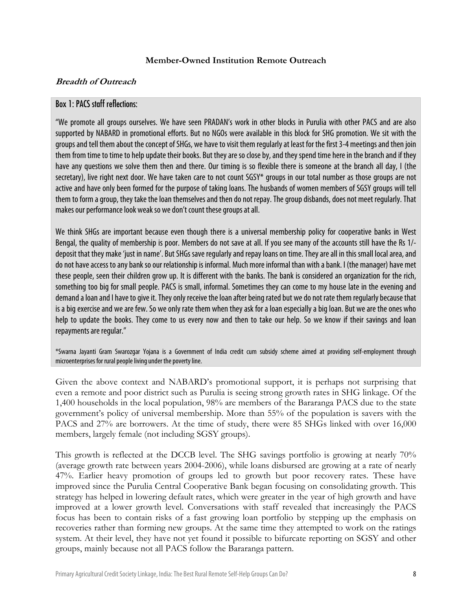#### **Member-Owned Institution Remote Outreach**

#### **Breadth of Outreach**

# Box 1: PACS staff reflections:

"We promote all groups ourselves. We have seen PRADAN's work in other blocks in Purulia with other PACS and are also supported by NABARD in promotional efforts. But no NGOs were available in this block for SHG promotion. We sit with the groups and tell them about the concept of SHGs, we have to visit them regularly at least for the first 3-4 meetings and then join them from time to time to help update their books. But they are so close by, and they spend time here in the branch and if they have any questions we solve them then and there. Our timing is so flexible there is someone at the branch all day, I (the secretary), live right next door. We have taken care to not count SGSY\* groups in our total number as those groups are not active and have only been formed for the purpose of taking loans. The husbands of women members of SGSY groups will tell them to form a group, they take the loan themselves and then do not repay. The group disbands, does not meet regularly. That makes our performance look weak so we don't count these groups at all.

We think SHGs are important because even though there is a universal membership policy for cooperative banks in West Bengal, the quality of membership is poor. Members do not save at all. If you see many of the accounts still have the Rs 1/ deposit that they make 'just in name'. But SHGs save regularly and repay loans on time. They are all in this small local area, and do not have access to any bank so our relationship is informal. Much more informal than with a bank. I (the manager) have met these people, seen their children grow up. It is different with the banks. The bank is considered an organization for the rich, something too big for small people. PACS is small, informal. Sometimes they can come to my house late in the evening and demand a loan and I have to give it. They only receive the loan after being rated but we do not rate them regularly because that is a big exercise and we are few. So we only rate them when they ask for a loan especially a big loan. But we are the ones who help to update the books. They come to us every now and then to take our help. So we know if their savings and loan repayments are regular."

\*Swarna Jayanti Gram Swarozgar Yojana is a Government of India credit cum subsidy scheme aimed at providing self-employment through microenterprises for rural people living under the poverty line.

Given the above context and NABARD's promotional support, it is perhaps not surprising that even a remote and poor district such as Purulia is seeing strong growth rates in SHG linkage. Of the 1,400 households in the local population, 98% are members of the Bararanga PACS due to the state government's policy of universal membership. More than 55% of the population is savers with the PACS and 27% are borrowers. At the time of study, there were 85 SHGs linked with over 16,000 members, largely female (not including SGSY groups).

This growth is reflected at the DCCB level. The SHG savings portfolio is growing at nearly 70% (average growth rate between years 2004-2006), while loans disbursed are growing at a rate of nearly 47%. Earlier heavy promotion of groups led to growth but poor recovery rates. These have improved since the Purulia Central Cooperative Bank began focusing on consolidating growth. This strategy has helped in lowering default rates, which were greater in the year of high growth and have improved at a lower growth level. Conversations with staff revealed that increasingly the PACS focus has been to contain risks of a fast growing loan portfolio by stepping up the emphasis on recoveries rather than forming new groups. At the same time they attempted to work on the ratings system. At their level, they have not yet found it possible to bifurcate reporting on SGSY and other groups, mainly because not all PACS follow the Bararanga pattern.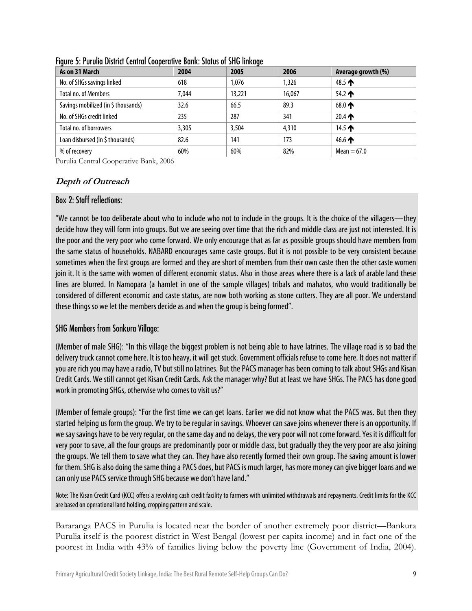| As on 31 March                      | 2004  | 2005   | 2006   | Average growth (%) |
|-------------------------------------|-------|--------|--------|--------------------|
| No. of SHGs savings linked          | 618   | 1.076  | 1.326  | 48.5 $\spadesuit$  |
| <b>Total no. of Members</b>         | 7.044 | 13,221 | 16.067 | $54.2 \spadesuit$  |
| Savings mobilized (in \$ thousands) | 32.6  | 66.5   | 89.3   | 68.0 $\spadesuit$  |
| No. of SHGs credit linked           | 235   | 287    | 341    | 20.4 $\spadesuit$  |
| Total no. of borrowers              | 3.305 | 3.504  | 4,310  | 14.5 $\spadesuit$  |
| Loan disbursed (in \$ thousands)    | 82.6  | 141    | 173    | 46.6 $\spadesuit$  |
| % of recovery                       | 60%   | 60%    | 82%    | $Mean = 67.0$      |

Figure 5: Purulia District Central Cooperative Bank: Status of SHG linkage

Purulia Central Cooperative Bank, 2006

# **Depth of Outreach**

# Box 2: Staff reflections:

"We cannot be too deliberate about who to include who not to include in the groups. It is the choice of the villagers—they decide how they will form into groups. But we are seeing over time that the rich and middle class are just not interested. It is the poor and the very poor who come forward. We only encourage that as far as possible groups should have members from the same status of households. NABARD encourages same caste groups. But it is not possible to be very consistent because sometimes when the first groups are formed and they are short of members from their own caste then the other caste women join it. It is the same with women of different economic status. Also in those areas where there is a lack of arable land these lines are blurred. In Namopara (a hamlet in one of the sample villages) tribals and mahatos, who would traditionally be considered of different economic and caste status, are now both working as stone cutters. They are all poor. We understand these things so we let the members decide as and when the group is being formed".

# SHG Members from Sonkura Village:

(Member of male SHG): "In this village the biggest problem is not being able to have latrines. The village road is so bad the delivery truck cannot come here. It is too heavy, it will get stuck. Government officials refuse to come here. It does not matter if you are rich you may have a radio, TV but still no latrines. But the PACS manager has been coming to talk about SHGs and Kisan Credit Cards. We still cannot get Kisan Credit Cards. Ask the manager why? But at least we have SHGs. The PACS has done good work in promoting SHGs, otherwise who comes to visit us?"

(Member of female groups): "For the first time we can get loans. Earlier we did not know what the PACS was. But then they started helping us form the group. We try to be regular in savings. Whoever can save joins whenever there is an opportunity. If we say savings have to be very regular, on the same day and no delays, the very poor will not come forward. Yes it is difficult for very poor to save, all the four groups are predominantly poor or middle class, but gradually they the very poor are also joining the groups. We tell them to save what they can. They have also recently formed their own group. The saving amount is lower for them. SHG is also doing the same thing a PACS does, but PACS is much larger, has more money can give bigger loans and we can only use PACS service through SHG because we don't have land."

Note: The Kisan Credit Card (KCC) offers a revolving cash credit facility to farmers with unlimited withdrawals and repayments. Credit limits for the KCC are based on operational land holding, cropping pattern and scale.

Bararanga PACS in Purulia is located near the border of another extremely poor district—Bankura Purulia itself is the poorest district in West Bengal (lowest per capita income) and in fact one of the poorest in India with 43% of families living below the poverty line (Government of India, 2004).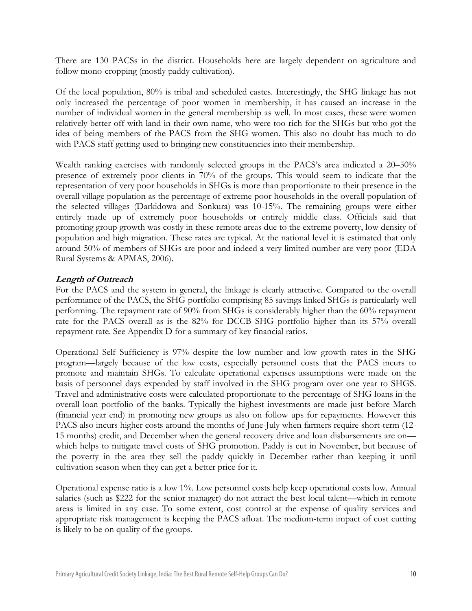There are 130 PACSs in the district. Households here are largely dependent on agriculture and follow mono-cropping (mostly paddy cultivation).

Of the local population, 80% is tribal and scheduled castes. Interestingly, the SHG linkage has not only increased the percentage of poor women in membership, it has caused an increase in the number of individual women in the general membership as well. In most cases, these were women relatively better off with land in their own name, who were too rich for the SHGs but who got the idea of being members of the PACS from the SHG women. This also no doubt has much to do with PACS staff getting used to bringing new constituencies into their membership.

Wealth ranking exercises with randomly selected groups in the PACS's area indicated a 20–50% presence of extremely poor clients in 70% of the groups. This would seem to indicate that the representation of very poor households in SHGs is more than proportionate to their presence in the overall village population as the percentage of extreme poor households in the overall population of the selected villages (Darkidowa and Sonkura) was 10-15%. The remaining groups were either entirely made up of extremely poor households or entirely middle class. Officials said that promoting group growth was costly in these remote areas due to the extreme poverty, low density of population and high migration. These rates are typical. At the national level it is estimated that only around 50% of members of SHGs are poor and indeed a very limited number are very poor (EDA Rural Systems & APMAS, 2006).

## **Length of Outreach**

For the PACS and the system in general, the linkage is clearly attractive. Compared to the overall performance of the PACS, the SHG portfolio comprising 85 savings linked SHGs is particularly well performing. The repayment rate of 90% from SHGs is considerably higher than the 60% repayment rate for the PACS overall as is the 82% for DCCB SHG portfolio higher than its 57% overall repayment rate. See Appendix D for a summary of key financial ratios.

Operational Self Sufficiency is 97% despite the low number and low growth rates in the SHG program—largely because of the low costs, especially personnel costs that the PACS incurs to promote and maintain SHGs. To calculate operational expenses assumptions were made on the basis of personnel days expended by staff involved in the SHG program over one year to SHGS. Travel and administrative costs were calculated proportionate to the percentage of SHG loans in the overall loan portfolio of the banks. Typically the highest investments are made just before March (financial year end) in promoting new groups as also on follow ups for repayments. However this PACS also incurs higher costs around the months of June-July when farmers require short-term (12- 15 months) credit, and December when the general recovery drive and loan disbursements are on which helps to mitigate travel costs of SHG promotion. Paddy is cut in November, but because of the poverty in the area they sell the paddy quickly in December rather than keeping it until cultivation season when they can get a better price for it.

Operational expense ratio is a low 1%. Low personnel costs help keep operational costs low. Annual salaries (such as \$222 for the senior manager) do not attract the best local talent—which in remote areas is limited in any case. To some extent, cost control at the expense of quality services and appropriate risk management is keeping the PACS afloat. The medium-term impact of cost cutting is likely to be on quality of the groups.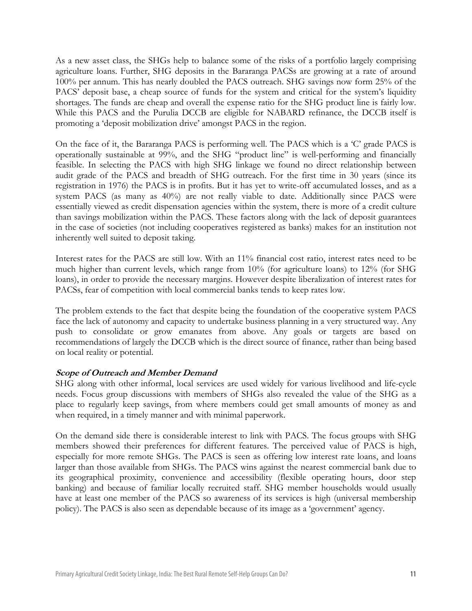As a new asset class, the SHGs help to balance some of the risks of a portfolio largely comprising agriculture loans. Further, SHG deposits in the Bararanga PACSs are growing at a rate of around 100% per annum. This has nearly doubled the PACS outreach. SHG savings now form 25% of the PACS' deposit base, a cheap source of funds for the system and critical for the system's liquidity shortages. The funds are cheap and overall the expense ratio for the SHG product line is fairly low. While this PACS and the Purulia DCCB are eligible for NABARD refinance, the DCCB itself is promoting a 'deposit mobilization drive' amongst PACS in the region.

On the face of it, the Bararanga PACS is performing well. The PACS which is a 'C' grade PACS is operationally sustainable at 99%, and the SHG "product line" is well-performing and financially feasible. In selecting the PACS with high SHG linkage we found no direct relationship between audit grade of the PACS and breadth of SHG outreach. For the first time in 30 years (since its registration in 1976) the PACS is in profits. But it has yet to write-off accumulated losses, and as a system PACS (as many as 40%) are not really viable to date. Additionally since PACS were essentially viewed as credit dispensation agencies within the system, there is more of a credit culture than savings mobilization within the PACS. These factors along with the lack of deposit guarantees in the case of societies (not including cooperatives registered as banks) makes for an institution not inherently well suited to deposit taking.

Interest rates for the PACS are still low. With an 11% financial cost ratio, interest rates need to be much higher than current levels, which range from 10% (for agriculture loans) to 12% (for SHG loans), in order to provide the necessary margins. However despite liberalization of interest rates for PACSs, fear of competition with local commercial banks tends to keep rates low.

The problem extends to the fact that despite being the foundation of the cooperative system PACS face the lack of autonomy and capacity to undertake business planning in a very structured way. Any push to consolidate or grow emanates from above. Any goals or targets are based on recommendations of largely the DCCB which is the direct source of finance, rather than being based on local reality or potential.

## **Scope of Outreach and Member Demand**

SHG along with other informal, local services are used widely for various livelihood and life-cycle needs. Focus group discussions with members of SHGs also revealed the value of the SHG as a place to regularly keep savings, from where members could get small amounts of money as and when required, in a timely manner and with minimal paperwork.

On the demand side there is considerable interest to link with PACS. The focus groups with SHG members showed their preferences for different features. The perceived value of PACS is high, especially for more remote SHGs. The PACS is seen as offering low interest rate loans, and loans larger than those available from SHGs. The PACS wins against the nearest commercial bank due to its geographical proximity, convenience and accessibility (flexible operating hours, door step banking) and because of familiar locally recruited staff. SHG member households would usually have at least one member of the PACS so awareness of its services is high (universal membership policy). The PACS is also seen as dependable because of its image as a 'government' agency.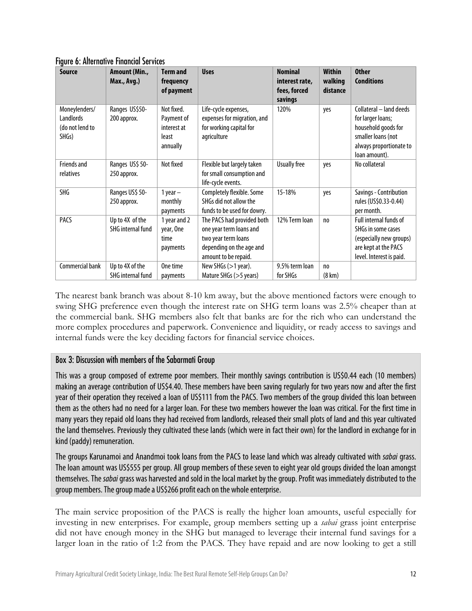| <b>Source</b>                                          | Amount (Min.,<br>Max., Avg.)                | <b>Term and</b><br>frequency<br>of payment                   | <b>Uses</b>                                                                                                                      | <b>Nominal</b><br>interest rate,<br>fees, forced<br>savings | <b>Within</b><br>walking<br>distance | <b>Other</b><br><b>Conditions</b>                                                                                                     |
|--------------------------------------------------------|---------------------------------------------|--------------------------------------------------------------|----------------------------------------------------------------------------------------------------------------------------------|-------------------------------------------------------------|--------------------------------------|---------------------------------------------------------------------------------------------------------------------------------------|
| Moneylenders/<br>Landlords<br>(do not lend to<br>SHGs) | Ranges US\$50-<br>200 approx.               | Not fixed.<br>Payment of<br>interest at<br>least<br>annually | Life-cycle expenses,<br>expenses for migration, and<br>for working capital for<br>agriculture                                    | 120%                                                        | yes                                  | Collateral - land deeds<br>for larger loans;<br>household goods for<br>smaller loans (not<br>always proportionate to<br>loan amount). |
| <b>Friends and</b><br>relatives                        | Ranges US\$ 50-<br>250 approx.              | Not fixed                                                    | Flexible but largely taken<br>for small consumption and<br>life-cycle events.                                                    | <b>Usually free</b>                                         | yes                                  | No collateral                                                                                                                         |
| <b>SHG</b>                                             | Ranges US\$ 50-<br>250 approx.              | 1 year $-$<br>monthly<br>payments                            | Completely flexible. Some<br>SHGs did not allow the<br>funds to be used for dowry.                                               | 15-18%                                                      | yes                                  | Savings - Contribution<br>rules (US\$0.33-0.44)<br>per month.                                                                         |
| PACS                                                   | Up to 4X of the<br><b>SHG internal fund</b> | 1 year and 2<br>year, One<br>time<br>payments                | The PACS had provided both<br>one year term loans and<br>two year term loans<br>depending on the age and<br>amount to be repaid. | 12% Term loan                                               | no                                   | Full internal funds of<br>SHGs in some cases<br>(especially new groups)<br>are kept at the PACS<br>level. Interest is paid.           |
| Commercial bank                                        | Up to 4X of the<br><b>SHG internal fund</b> | One time<br>payments                                         | New SHGs (>1 year).<br>Mature SHGs (>5 years)                                                                                    | 9.5% term loan<br>for SHGs                                  | no<br>$(8 \text{ km})$               |                                                                                                                                       |

Figure 6: Alternative Financial Services

The nearest bank branch was about 8-10 km away, but the above mentioned factors were enough to swing SHG preference even though the interest rate on SHG term loans was 2.5% cheaper than at the commercial bank. SHG members also felt that banks are for the rich who can understand the more complex procedures and paperwork. Convenience and liquidity, or ready access to savings and internal funds were the key deciding factors for financial service choices.

# Box 3: Discussion with members of the Sabarmati Group

This was a group composed of extreme poor members. Their monthly savings contribution is US\$0.44 each (10 members) making an average contribution of US\$4.40. These members have been saving regularly for two years now and after the first year of their operation they received a loan of US\$111 from the PACS. Two members of the group divided this loan between them as the others had no need for a larger loan. For these two members however the loan was critical. For the first time in many years they repaid old loans they had received from landlords, released their small plots of land and this year cultivated the land themselves. Previously they cultivated these lands (which were in fact their own) for the landlord in exchange for in kind (paddy) remuneration.

The groups Karunamoi and Anandmoi took loans from the PACS to lease land which was already cultivated with sabai grass. The loan amount was US\$555 per group. All group members of these seven to eight year old groups divided the loan amongst themselves. The sabai grass was harvested and sold in the local market by the group. Profit was immediately distributed to the group members. The group made a US\$266 profit each on the whole enterprise.

The main service proposition of the PACS is really the higher loan amounts, useful especially for investing in new enterprises. For example, group members setting up a *sabai* grass joint enterprise did not have enough money in the SHG but managed to leverage their internal fund savings for a larger loan in the ratio of 1:2 from the PACS. They have repaid and are now looking to get a still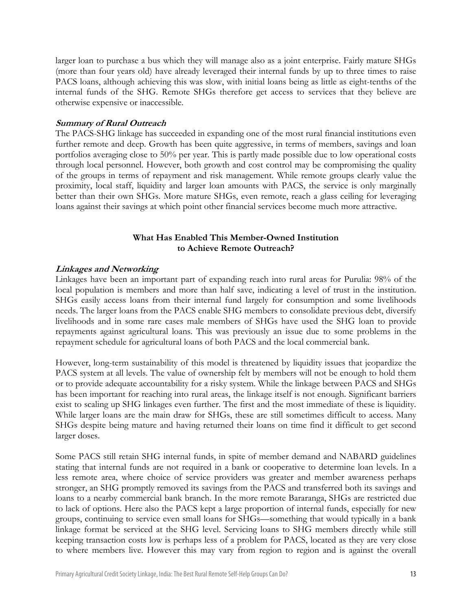larger loan to purchase a bus which they will manage also as a joint enterprise. Fairly mature SHGs (more than four years old) have already leveraged their internal funds by up to three times to raise PACS loans, although achieving this was slow, with initial loans being as little as eight-tenths of the internal funds of the SHG. Remote SHGs therefore get access to services that they believe are otherwise expensive or inaccessible.

#### **Summary of Rural Outreach**

The PACS-SHG linkage has succeeded in expanding one of the most rural financial institutions even further remote and deep. Growth has been quite aggressive, in terms of members, savings and loan portfolios averaging close to 50% per year. This is partly made possible due to low operational costs through local personnel. However, both growth and cost control may be compromising the quality of the groups in terms of repayment and risk management. While remote groups clearly value the proximity, local staff, liquidity and larger loan amounts with PACS, the service is only marginally better than their own SHGs. More mature SHGs, even remote, reach a glass ceiling for leveraging loans against their savings at which point other financial services become much more attractive.

# **What Has Enabled This Member-Owned Institution to Achieve Remote Outreach?**

#### **Linkages and Networking**

Linkages have been an important part of expanding reach into rural areas for Purulia: 98% of the local population is members and more than half save, indicating a level of trust in the institution. SHGs easily access loans from their internal fund largely for consumption and some livelihoods needs. The larger loans from the PACS enable SHG members to consolidate previous debt, diversify livelihoods and in some rare cases male members of SHGs have used the SHG loan to provide repayments against agricultural loans. This was previously an issue due to some problems in the repayment schedule for agricultural loans of both PACS and the local commercial bank.

However, long-term sustainability of this model is threatened by liquidity issues that jeopardize the PACS system at all levels. The value of ownership felt by members will not be enough to hold them or to provide adequate accountability for a risky system. While the linkage between PACS and SHGs has been important for reaching into rural areas, the linkage itself is not enough. Significant barriers exist to scaling up SHG linkages even further. The first and the most immediate of these is liquidity. While larger loans are the main draw for SHGs, these are still sometimes difficult to access. Many SHGs despite being mature and having returned their loans on time find it difficult to get second larger doses.

Some PACS still retain SHG internal funds, in spite of member demand and NABARD guidelines stating that internal funds are not required in a bank or cooperative to determine loan levels. In a less remote area, where choice of service providers was greater and member awareness perhaps stronger, an SHG promptly removed its savings from the PACS and transferred both its savings and loans to a nearby commercial bank branch. In the more remote Bararanga, SHGs are restricted due to lack of options. Here also the PACS kept a large proportion of internal funds, especially for new groups, continuing to service even small loans for SHGs—something that would typically in a bank linkage format be serviced at the SHG level. Servicing loans to SHG members directly while still keeping transaction costs low is perhaps less of a problem for PACS, located as they are very close to where members live. However this may vary from region to region and is against the overall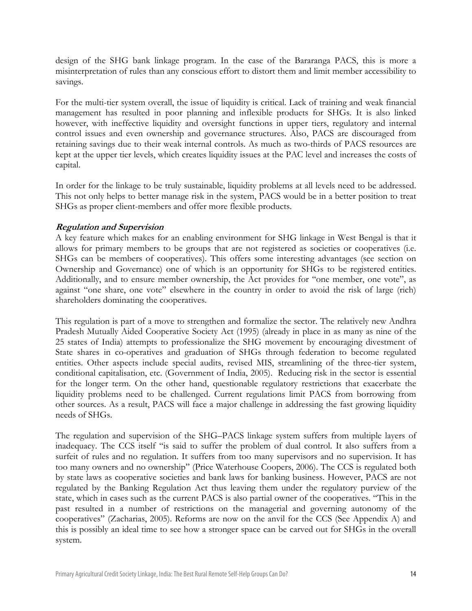design of the SHG bank linkage program. In the case of the Bararanga PACS, this is more a misinterpretation of rules than any conscious effort to distort them and limit member accessibility to savings.

For the multi-tier system overall, the issue of liquidity is critical. Lack of training and weak financial management has resulted in poor planning and inflexible products for SHGs. It is also linked however, with ineffective liquidity and oversight functions in upper tiers, regulatory and internal control issues and even ownership and governance structures. Also, PACS are discouraged from retaining savings due to their weak internal controls. As much as two-thirds of PACS resources are kept at the upper tier levels, which creates liquidity issues at the PAC level and increases the costs of capital.

In order for the linkage to be truly sustainable, liquidity problems at all levels need to be addressed. This not only helps to better manage risk in the system, PACS would be in a better position to treat SHGs as proper client-members and offer more flexible products.

# **Regulation and Supervision**

A key feature which makes for an enabling environment for SHG linkage in West Bengal is that it allows for primary members to be groups that are not registered as societies or cooperatives (i.e. SHGs can be members of cooperatives). This offers some interesting advantages (see section on Ownership and Governance) one of which is an opportunity for SHGs to be registered entities. Additionally, and to ensure member ownership, the Act provides for "one member, one vote", as against "one share, one vote" elsewhere in the country in order to avoid the risk of large (rich) shareholders dominating the cooperatives.

This regulation is part of a move to strengthen and formalize the sector. The relatively new Andhra Pradesh Mutually Aided Cooperative Society Act (1995) (already in place in as many as nine of the 25 states of India) attempts to professionalize the SHG movement by encouraging divestment of State shares in co-operatives and graduation of SHGs through federation to become regulated entities. Other aspects include special audits, revised MIS, streamlining of the three-tier system, conditional capitalisation, etc. (Government of India, 2005). Reducing risk in the sector is essential for the longer term. On the other hand, questionable regulatory restrictions that exacerbate the liquidity problems need to be challenged. Current regulations limit PACS from borrowing from other sources. As a result, PACS will face a major challenge in addressing the fast growing liquidity needs of SHGs.

The regulation and supervision of the SHG–PACS linkage system suffers from multiple layers of inadequacy. The CCS itself "is said to suffer the problem of dual control. It also suffers from a surfeit of rules and no regulation. It suffers from too many supervisors and no supervision. It has too many owners and no ownership" (Price Waterhouse Coopers, 2006). The CCS is regulated both by state laws as cooperative societies and bank laws for banking business. However, PACS are not regulated by the Banking Regulation Act thus leaving them under the regulatory purview of the state, which in cases such as the current PACS is also partial owner of the cooperatives. "This in the past resulted in a number of restrictions on the managerial and governing autonomy of the cooperatives" (Zacharias, 2005). Reforms are now on the anvil for the CCS (See Appendix A) and this is possibly an ideal time to see how a stronger space can be carved out for SHGs in the overall system.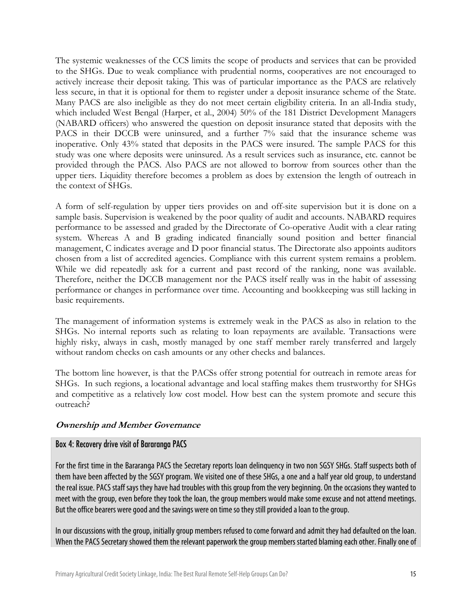The systemic weaknesses of the CCS limits the scope of products and services that can be provided to the SHGs. Due to weak compliance with prudential norms, cooperatives are not encouraged to actively increase their deposit taking. This was of particular importance as the PACS are relatively less secure, in that it is optional for them to register under a deposit insurance scheme of the State. Many PACS are also ineligible as they do not meet certain eligibility criteria. In an all-India study, which included West Bengal (Harper, et al., 2004) 50% of the 181 District Development Managers (NABARD officers) who answered the question on deposit insurance stated that deposits with the PACS in their DCCB were uninsured, and a further 7% said that the insurance scheme was inoperative. Only 43% stated that deposits in the PACS were insured. The sample PACS for this study was one where deposits were uninsured. As a result services such as insurance, etc. cannot be provided through the PACS. Also PACS are not allowed to borrow from sources other than the upper tiers. Liquidity therefore becomes a problem as does by extension the length of outreach in the context of SHGs.

A form of self-regulation by upper tiers provides on and off-site supervision but it is done on a sample basis. Supervision is weakened by the poor quality of audit and accounts. NABARD requires performance to be assessed and graded by the Directorate of Co-operative Audit with a clear rating system. Whereas A and B grading indicated financially sound position and better financial management, C indicates average and D poor financial status. The Directorate also appoints auditors chosen from a list of accredited agencies. Compliance with this current system remains a problem. While we did repeatedly ask for a current and past record of the ranking, none was available. Therefore, neither the DCCB management nor the PACS itself really was in the habit of assessing performance or changes in performance over time. Accounting and bookkeeping was still lacking in basic requirements.

The management of information systems is extremely weak in the PACS as also in relation to the SHGs. No internal reports such as relating to loan repayments are available. Transactions were highly risky, always in cash, mostly managed by one staff member rarely transferred and largely without random checks on cash amounts or any other checks and balances.

The bottom line however, is that the PACSs offer strong potential for outreach in remote areas for SHGs. In such regions, a locational advantage and local staffing makes them trustworthy for SHGs and competitive as a relatively low cost model. How best can the system promote and secure this outreach?

## **Ownership and Member Governance**

#### Box 4: Recovery drive visit of Bararanga PACS

For the first time in the Bararanga PACS the Secretary reports loan delinquency in two non SGSY SHGs. Staff suspects both of them have been affected by the SGSY program. We visited one of these SHGs, a one and a half year old group, to understand the real issue. PACS staff says they have had troubles with this group from the very beginning. On the occasions they wanted to meet with the group, even before they took the loan, the group members would make some excuse and not attend meetings. But the office bearers were good and the savings were on time so they still provided a loan to the group.

In our discussions with the group, initially group members refused to come forward and admit they had defaulted on the loan. When the PACS Secretary showed them the relevant paperwork the group members started blaming each other. Finally one of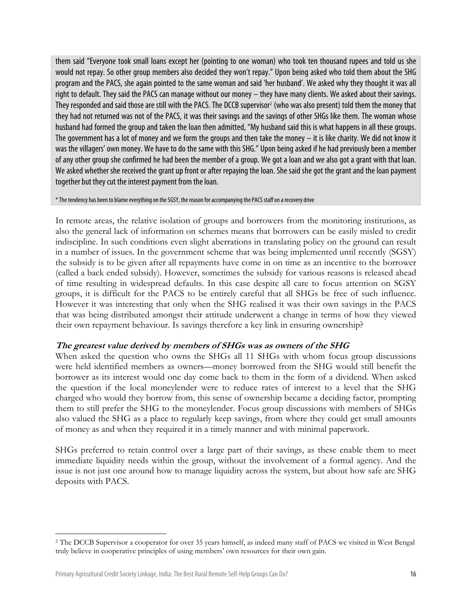them said "Everyone took small loans except her (pointing to one woman) who took ten thousand rupees and told us she would not repay. So other group members also decided they won't repay." Upon being asked who told them about the SHG program and the PACS, she again pointed to the same woman and said 'her husband'. We asked why they thought it was all right to default. They said the PACS can manage without our money – they have many clients. We asked about their savings. They responded and said those are still with the PACS. The DCCB supervisor<sup>[2](#page-18-0)</sup> (who was also present) told them the money that they had not returned was not of the PACS, it was their savings and the savings of other SHGs like them. The woman whose husband had formed the group and taken the loan then admitted, "My husband said this is what happens in all these groups. The government has a lot of money and we form the groups and then take the money  $-$  it is like charity. We did not know it was the villagers' own money. We have to do the same with this SHG." Upon being asked if he had previously been a member of any other group she confirmed he had been the member of a group. We got a loan and we also got a grant with that loan. We asked whether she received the grant up front or after repaying the loan. She said she got the grant and the loan payment together but they cut the interest payment from the loan.

\* The tendency has been to blame everything on the SGSY, the reason for accompanying the PACS staff on a recovery drive

In remote areas, the relative isolation of groups and borrowers from the monitoring institutions, as also the general lack of information on schemes means that borrowers can be easily misled to credit indiscipline. In such conditions even slight aberrations in translating policy on the ground can result in a number of issues. In the government scheme that was being implemented until recently (SGSY) the subsidy is to be given after all repayments have come in on time as an incentive to the borrower (called a back ended subsidy). However, sometimes the subsidy for various reasons is released ahead of time resulting in widespread defaults. In this case despite all care to focus attention on SGSY groups, it is difficult for the PACS to be entirely careful that all SHGs be free of such influence. However it was interesting that only when the SHG realised it was their own savings in the PACS that was being distributed amongst their attitude underwent a change in terms of how they viewed their own repayment behaviour. Is savings therefore a key link in ensuring ownership?

#### **The greatest value derived by members of SHGs was as owners of the SHG**

When asked the question who owns the SHGs all 11 SHGs with whom focus group discussions were held identified members as owners—money borrowed from the SHG would still benefit the borrower as its interest would one day come back to them in the form of a dividend. When asked the question if the local moneylender were to reduce rates of interest to a level that the SHG charged who would they borrow from, this sense of ownership became a deciding factor, prompting them to still prefer the SHG to the moneylender. Focus group discussions with members of SHGs also valued the SHG as a place to regularly keep savings, from where they could get small amounts of money as and when they required it in a timely manner and with minimal paperwork.

SHGs preferred to retain control over a large part of their savings, as these enable them to meet immediate liquidity needs within the group, without the involvement of a formal agency. And the issue is not just one around how to manage liquidity across the system, but about how safe are SHG deposits with PACS.

 $\overline{a}$ 

<span id="page-18-0"></span><sup>2</sup> The DCCB Supervisor a cooperator for over 35 years himself, as indeed many staff of PACS we visited in West Bengal truly believe in cooperative principles of using members' own resources for their own gain.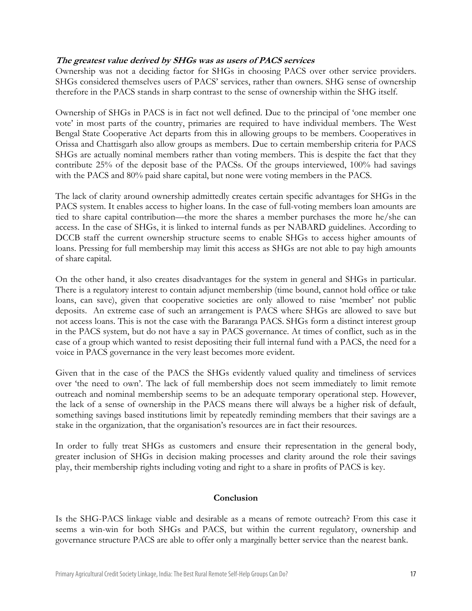## **The greatest value derived by SHGs was as users of PACS services**

Ownership was not a deciding factor for SHGs in choosing PACS over other service providers. SHGs considered themselves users of PACS' services, rather than owners. SHG sense of ownership therefore in the PACS stands in sharp contrast to the sense of ownership within the SHG itself.

Ownership of SHGs in PACS is in fact not well defined. Due to the principal of 'one member one vote' in most parts of the country, primaries are required to have individual members. The West Bengal State Cooperative Act departs from this in allowing groups to be members. Cooperatives in Orissa and Chattisgarh also allow groups as members. Due to certain membership criteria for PACS SHGs are actually nominal members rather than voting members. This is despite the fact that they contribute 25% of the deposit base of the PACSs. Of the groups interviewed, 100% had savings with the PACS and 80% paid share capital, but none were voting members in the PACS.

The lack of clarity around ownership admittedly creates certain specific advantages for SHGs in the PACS system. It enables access to higher loans. In the case of full-voting members loan amounts are tied to share capital contribution—the more the shares a member purchases the more he/she can access. In the case of SHGs, it is linked to internal funds as per NABARD guidelines. According to DCCB staff the current ownership structure seems to enable SHGs to access higher amounts of loans. Pressing for full membership may limit this access as SHGs are not able to pay high amounts of share capital.

On the other hand, it also creates disadvantages for the system in general and SHGs in particular. There is a regulatory interest to contain adjunct membership (time bound, cannot hold office or take loans, can save), given that cooperative societies are only allowed to raise 'member' not public deposits. An extreme case of such an arrangement is PACS where SHGs are allowed to save but not access loans. This is not the case with the Bararanga PACS. SHGs form a distinct interest group in the PACS system, but do not have a say in PACS governance. At times of conflict, such as in the case of a group which wanted to resist depositing their full internal fund with a PACS, the need for a voice in PACS governance in the very least becomes more evident.

Given that in the case of the PACS the SHGs evidently valued quality and timeliness of services over 'the need to own'. The lack of full membership does not seem immediately to limit remote outreach and nominal membership seems to be an adequate temporary operational step. However, the lack of a sense of ownership in the PACS means there will always be a higher risk of default, something savings based institutions limit by repeatedly reminding members that their savings are a stake in the organization, that the organisation's resources are in fact their resources.

In order to fully treat SHGs as customers and ensure their representation in the general body, greater inclusion of SHGs in decision making processes and clarity around the role their savings play, their membership rights including voting and right to a share in profits of PACS is key.

#### **Conclusion**

Is the SHG-PACS linkage viable and desirable as a means of remote outreach? From this case it seems a win-win for both SHGs and PACS, but within the current regulatory, ownership and governance structure PACS are able to offer only a marginally better service than the nearest bank.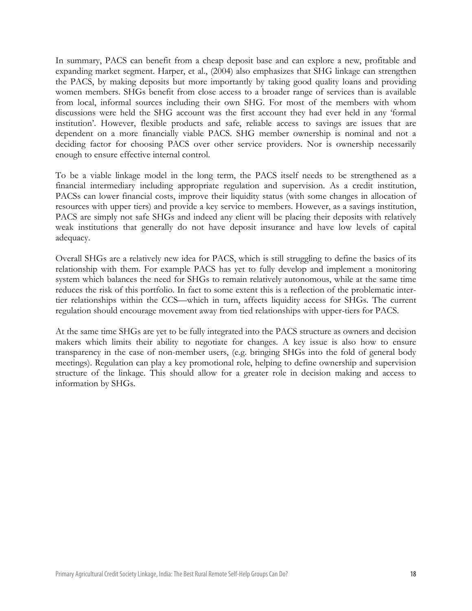In summary, PACS can benefit from a cheap deposit base and can explore a new, profitable and expanding market segment. Harper, et al., (2004) also emphasizes that SHG linkage can strengthen the PACS, by making deposits but more importantly by taking good quality loans and providing women members. SHGs benefit from close access to a broader range of services than is available from local, informal sources including their own SHG. For most of the members with whom discussions were held the SHG account was the first account they had ever held in any 'formal institution'. However, flexible products and safe, reliable access to savings are issues that are dependent on a more financially viable PACS. SHG member ownership is nominal and not a deciding factor for choosing PACS over other service providers. Nor is ownership necessarily enough to ensure effective internal control.

To be a viable linkage model in the long term, the PACS itself needs to be strengthened as a financial intermediary including appropriate regulation and supervision. As a credit institution, PACSs can lower financial costs, improve their liquidity status (with some changes in allocation of resources with upper tiers) and provide a key service to members. However, as a savings institution, PACS are simply not safe SHGs and indeed any client will be placing their deposits with relatively weak institutions that generally do not have deposit insurance and have low levels of capital adequacy.

Overall SHGs are a relatively new idea for PACS, which is still struggling to define the basics of its relationship with them. For example PACS has yet to fully develop and implement a monitoring system which balances the need for SHGs to remain relatively autonomous, while at the same time reduces the risk of this portfolio. In fact to some extent this is a reflection of the problematic intertier relationships within the CCS—which in turn, affects liquidity access for SHGs. The current regulation should encourage movement away from tied relationships with upper-tiers for PACS.

At the same time SHGs are yet to be fully integrated into the PACS structure as owners and decision makers which limits their ability to negotiate for changes. A key issue is also how to ensure transparency in the case of non-member users, (e.g. bringing SHGs into the fold of general body meetings). Regulation can play a key promotional role, helping to define ownership and supervision structure of the linkage. This should allow for a greater role in decision making and access to information by SHGs.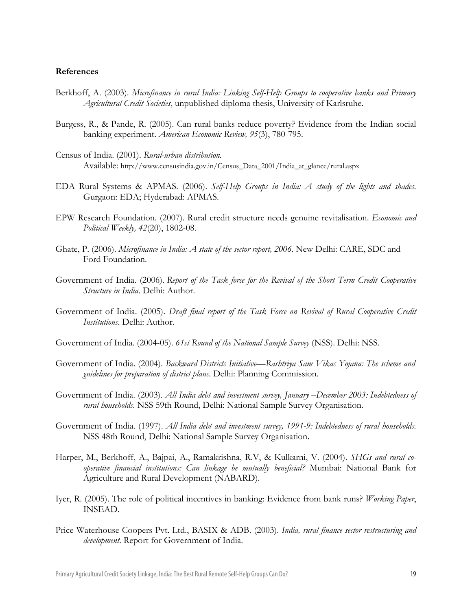#### **References**

- Berkhoff, A. (2003). *Microfinance in rural India: Linking Self-Help Groups to cooperative banks and Primary Agricultural Credit Societies*, unpublished diploma thesis, University of Karlsruhe.
- Burgess, R., & Pande, R. (2005). Can rural banks reduce poverty? Evidence from the Indian social banking experiment. *American Economic Review, 95*(3), 780-795.
- Census of India. (2001). *Rural-urban distribution.* Available: http://www.censusindia.gov.in/Census\_Data\_2001/India\_at\_glance/rural.aspx
- EDA Rural Systems & APMAS. (2006). *Self-Help Groups in India: A study of the lights and shades*. Gurgaon: EDA; Hyderabad: APMAS.
- EPW Research Foundation. (2007). Rural credit structure needs genuine revitalisation. *Economic and Political Weekly, 42*(20), 1802-08.
- Ghate, P. (2006). *Microfinance in India: A state of the sector report, 2006.* New Delhi: CARE, SDC and Ford Foundation.
- Government of India. (2006). *Report of the Task force for the Revival of the Short Term Credit Cooperative Structure in India*. Delhi: Author.
- Government of India. (2005). *Draft final report of the Task Force on Revival of Rural Cooperative Credit Institutions*. Delhi: Author.
- Government of India. (2004-05). *61st Round of the National Sample Survey* (NSS). Delhi: NSS.
- Government of India. (2004). *Backward Districts Initiative—Rashtriya Sam Vikas Yojana: The scheme and guidelines for preparation of district plans*. Delhi: Planning Commission.
- Government of India. (2003). *All India debt and investment survey, January –December 2003: Indebtedness of rural households*. NSS 59th Round, Delhi: National Sample Survey Organisation.
- Government of India. (1997). *All India debt and investment survey, 1991-9: Indebtedness of rural households*. NSS 48th Round, Delhi: National Sample Survey Organisation.
- Harper, M., Berkhoff, A., Bajpai, A., Ramakrishna, R.V, & Kulkarni, V. (2004). *SHGs and rural cooperative financial institutions: Can linkage be mutually beneficial?* Mumbai: National Bank for Agriculture and Rural Development (NABARD).
- Iyer, R. (2005). The role of political incentives in banking: Evidence from bank runs? *Working Paper*, INSEAD.
- Price Waterhouse Coopers Pvt. Ltd., BASIX & ADB. (2003). *India, rural finance sector restructuring and development*. Report for Government of India.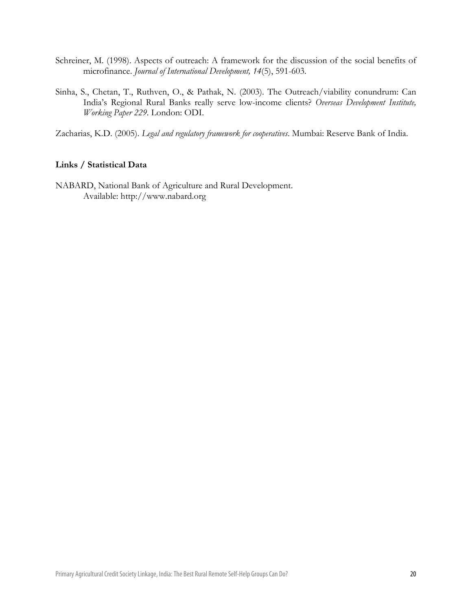- Schreiner, M. (1998). Aspects of outreach: A framework for the discussion of the social benefits of microfinance. *Journal of International Development, 14*(5), 591-603.
- Sinha, S., Chetan, T., Ruthven, O., & Pathak, N. (2003). The Outreach/viability conundrum: Can India's Regional Rural Banks really serve low-income clients? *Overseas Development Institute, Working Paper 229.* London: ODI.

Zacharias, K.D. (2005). *Legal and regulatory framework for cooperatives*. Mumbai: Reserve Bank of India.

#### **Links / Statistical Data**

NABARD, National Bank of Agriculture and Rural Development. Available: http:/[/www.nabard.org](http://www.nabard.org/)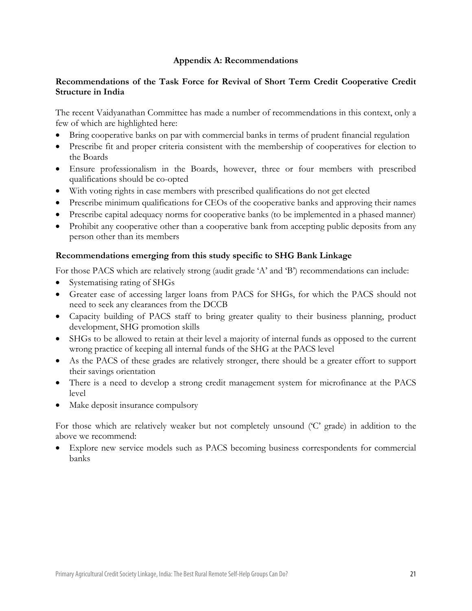## **Appendix A: Recommendations**

## **Recommendations of the Task Force for Revival of Short Term Credit Cooperative Credit Structure in India**

The recent Vaidyanathan Committee has made a number of recommendations in this context, only a few of which are highlighted here:

- Bring cooperative banks on par with commercial banks in terms of prudent financial regulation
- Prescribe fit and proper criteria consistent with the membership of cooperatives for election to the Boards
- Ensure professionalism in the Boards, however, three or four members with prescribed qualifications should be co-opted
- With voting rights in case members with prescribed qualifications do not get elected
- Prescribe minimum qualifications for CEOs of the cooperative banks and approving their names
- Prescribe capital adequacy norms for cooperative banks (to be implemented in a phased manner)
- Prohibit any cooperative other than a cooperative bank from accepting public deposits from any person other than its members

## **Recommendations emerging from this study specific to SHG Bank Linkage**

For those PACS which are relatively strong (audit grade 'A' and 'B') recommendations can include:

- Systematising rating of SHGs
- Greater ease of accessing larger loans from PACS for SHGs, for which the PACS should not need to seek any clearances from the DCCB
- Capacity building of PACS staff to bring greater quality to their business planning, product development, SHG promotion skills
- SHGs to be allowed to retain at their level a majority of internal funds as opposed to the current wrong practice of keeping all internal funds of the SHG at the PACS level
- As the PACS of these grades are relatively stronger, there should be a greater effort to support their savings orientation
- There is a need to develop a strong credit management system for microfinance at the PACS level
- Make deposit insurance compulsory

For those which are relatively weaker but not completely unsound ('C' grade) in addition to the above we recommend:

• Explore new service models such as PACS becoming business correspondents for commercial banks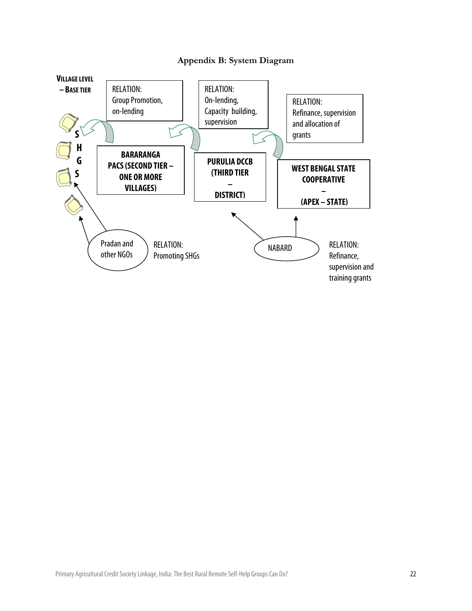

# **Appendix B: System Diagram**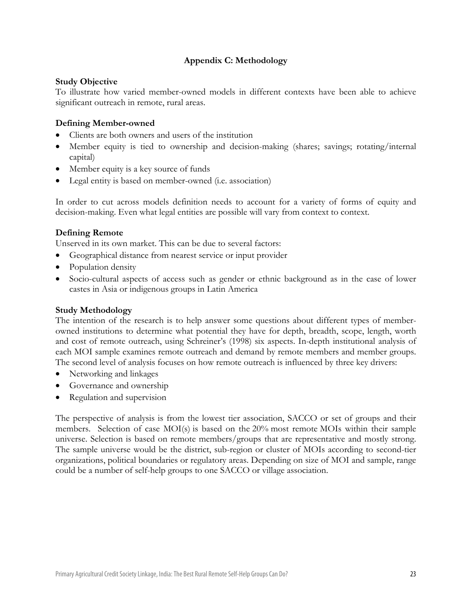# **Appendix C: Methodology**

#### **Study Objective**

To illustrate how varied member-owned models in different contexts have been able to achieve significant outreach in remote, rural areas.

#### **Defining Member-owned**

- Clients are both owners and users of the institution
- Member equity is tied to ownership and decision-making (shares; savings; rotating/internal capital)
- Member equity is a key source of funds
- Legal entity is based on member-owned (i.e. association)

In order to cut across models definition needs to account for a variety of forms of equity and decision-making. Even what legal entities are possible will vary from context to context.

#### **Defining Remote**

Unserved in its own market. This can be due to several factors:

- Geographical distance from nearest service or input provider
- Population density
- Socio-cultural aspects of access such as gender or ethnic background as in the case of lower castes in Asia or indigenous groups in Latin America

#### **Study Methodology**

The intention of the research is to help answer some questions about different types of memberowned institutions to determine what potential they have for depth, breadth, scope, length, worth and cost of remote outreach, using Schreiner's (1998) six aspects. In-depth institutional analysis of each MOI sample examines remote outreach and demand by remote members and member groups. The second level of analysis focuses on how remote outreach is influenced by three key drivers:

- Networking and linkages
- Governance and ownership
- Regulation and supervision

The perspective of analysis is from the lowest tier association, SACCO or set of groups and their members. Selection of case MOI(s) is based on the 20% most remote MOIs within their sample universe. Selection is based on remote members/groups that are representative and mostly strong. The sample universe would be the district, sub-region or cluster of MOIs according to second-tier organizations, political boundaries or regulatory areas. Depending on size of MOI and sample, range could be a number of self-help groups to one SACCO or village association.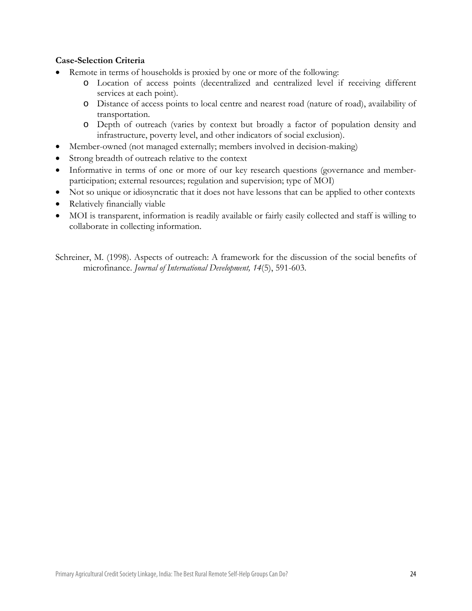## **Case-Selection Criteria**

- Remote in terms of households is proxied by one or more of the following:
	- o Location of access points (decentralized and centralized level if receiving different services at each point).
	- o Distance of access points to local centre and nearest road (nature of road), availability of transportation.
	- o Depth of outreach (varies by context but broadly a factor of population density and infrastructure, poverty level, and other indicators of social exclusion).
- Member-owned (not managed externally; members involved in decision-making)
- Strong breadth of outreach relative to the context
- Informative in terms of one or more of our key research questions (governance and memberparticipation; external resources; regulation and supervision; type of MOI)
- Not so unique or idiosyncratic that it does not have lessons that can be applied to other contexts
- Relatively financially viable
- MOI is transparent, information is readily available or fairly easily collected and staff is willing to collaborate in collecting information.

Schreiner, M. (1998). Aspects of outreach: A framework for the discussion of the social benefits of microfinance. *Journal of International Development, 14*(5), 591-603.